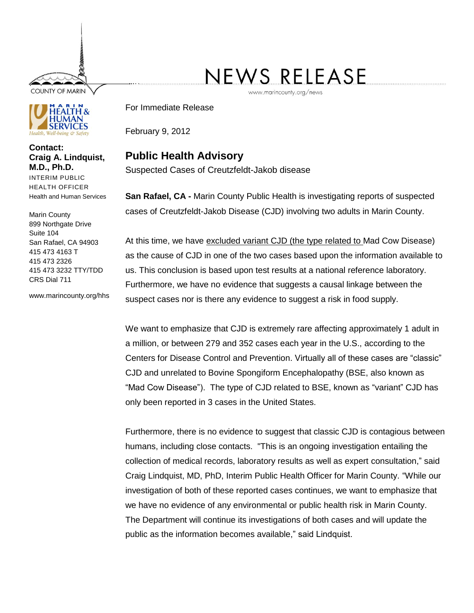**COUNTY OF MARIN** 



**Contact: Craig A. Lindquist, M.D., Ph.D.** INTERIM PUBLIC HEALTH OFFICER Health and Human Services

Marin County 899 Northgate Drive Suite 104 San Rafael, CA 94903 415 473 4163 T 415 473 2326 415 473 3232 TTY/TDD CRS Dial 711

www.marincounty.org/hhs

## NEWS RELEASE

www.marincounty.org/news

For Immediate Release

February 9, 2012

## **Public Health Advisory**

Suspected Cases of Creutzfeldt-Jakob disease

**San Rafael, CA -** Marin County Public Health is investigating reports of suspected cases of Creutzfeldt-Jakob Disease (CJD) involving two adults in Marin County.

At this time, we have excluded variant CJD (the type related to Mad Cow Disease) as the cause of CJD in one of the two cases based upon the information available to us. This conclusion is based upon test results at a national reference laboratory. Furthermore, we have no evidence that suggests a causal linkage between the suspect cases nor is there any evidence to suggest a risk in food supply.

We want to emphasize that CJD is extremely rare affecting approximately 1 adult in a million, or between 279 and 352 cases each year in the U.S., according to the Centers for Disease Control and Prevention. Virtually all of these cases are "classic" CJD and unrelated to Bovine Spongiform Encephalopathy (BSE, also known as "Mad Cow Disease"). The type of CJD related to BSE, known as "variant" CJD has only been reported in 3 cases in the United States.

Furthermore, there is no evidence to suggest that classic CJD is contagious between humans, including close contacts. "This is an ongoing investigation entailing the collection of medical records, laboratory results as well as expert consultation," said Craig Lindquist, MD, PhD, Interim Public Health Officer for Marin County. "While our investigation of both of these reported cases continues, we want to emphasize that we have no evidence of any environmental or public health risk in Marin County. The Department will continue its investigations of both cases and will update the public as the information becomes available," said Lindquist.